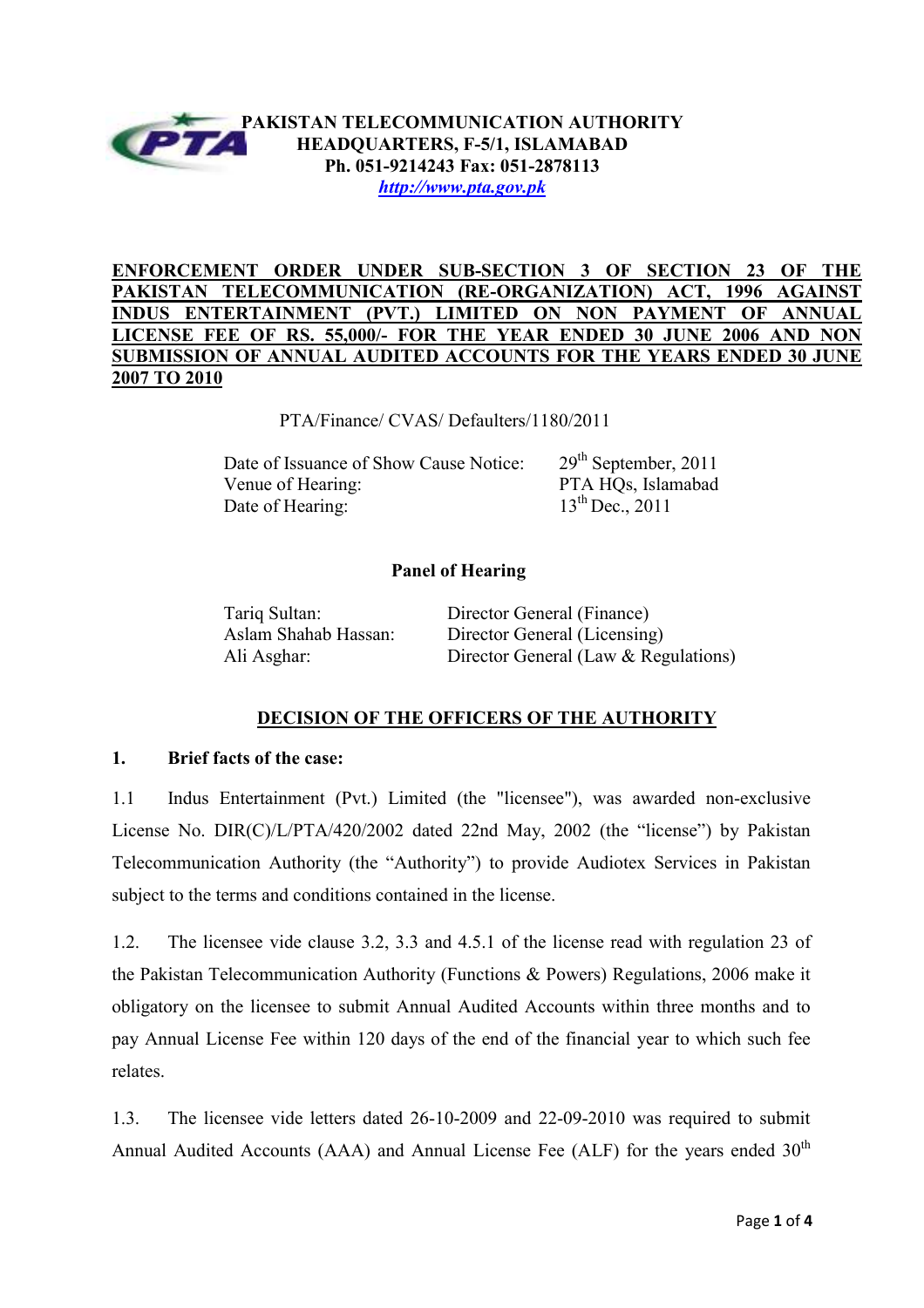

## **ENFORCEMENT ORDER UNDER SUB-SECTION 3 OF SECTION 23 OF THE PAKISTAN TELECOMMUNICATION (RE-ORGANIZATION) ACT, 1996 AGAINST INDUS ENTERTAINMENT (PVT.) LIMITED ON NON PAYMENT OF ANNU. LICENSE FEE OF RS. 55,000/- FOR THE YEAR ENDED 30 JUNE 2006 AND NON SUBMISSION OF ANNUAL AUDITED ACCOUNTS FOR THE YEARS ENDED 30 JUNE 2007 TO 2010**

PTA/Finance/ CVAS/ Defaulters/1180/2011

Date of Issuance of Show Cause Notice: 29<sup>th</sup> September, 2011 Venue of Hearing: PTA HOs, Islamabad Date of Hearing: 13<sup>th</sup> Dec., 2011

# **Panel of Hearing**

Tariq Sultan: Director General (Finance) Aslam Shahab Hassan: Director General (Licensing) Ali Asghar: Director General (Law & Regulations)

## **DECISION OF THE OFFICERS OF THE AUTHORITY**

## **1. Brief facts of the case:**

1.1 Indus Entertainment (Pvt.) Limited (the "licensee"), was awarded non-exclusive License No. DIR(C)/L/PTA/420/2002 dated 22nd May, 2002 (the "license") by Pakistan Telecommunication Authority (the "Authority") to provide Audiotex Services in Pakistan subject to the terms and conditions contained in the license.

1.2. The licensee vide clause 3.2, 3.3 and 4.5.1 of the license read with regulation 23 of the Pakistan Telecommunication Authority (Functions & Powers) Regulations, 2006 make it obligatory on the licensee to submit Annual Audited Accounts within three months and to pay Annual License Fee within 120 days of the end of the financial year to which such fee relates.

1.3. The licensee vide letters dated 26-10-2009 and 22-09-2010 was required to submit Annual Audited Accounts (AAA) and Annual License Fee (ALF) for the years ended  $30<sup>th</sup>$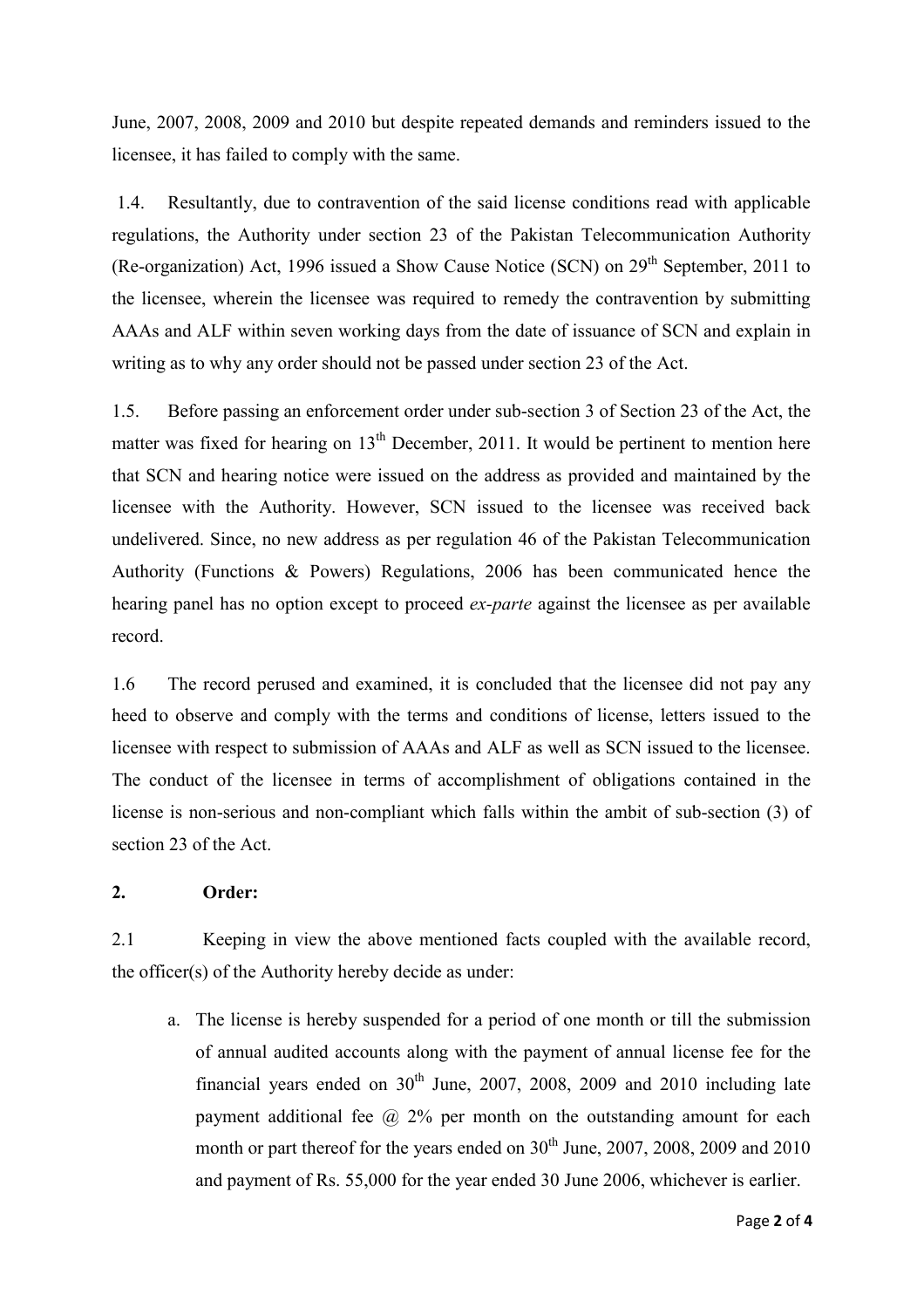June, 2007, 2008, 2009 and 2010 but despite repeated demands and reminders issued to the licensee, it has failed to comply with the same.

 1.4. Resultantly, due to contravention of the said license conditions read with applicable regulations, the Authority under section 23 of the Pakistan Telecommunication Authority (Re-organization) Act, 1996 issued a Show Cause Notice (SCN) on  $29<sup>th</sup>$  September, 2011 to the licensee, wherein the licensee was required to remedy the contravention by submitting AAAs and ALF within seven working days from the date of issuance of SCN and explain in writing as to why any order should not be passed under section 23 of the Act.

1.5. Before passing an enforcement order under sub-section 3 of Section 23 of the Act, the matter was fixed for hearing on  $13<sup>th</sup>$  December, 2011. It would be pertinent to mention here that SCN and hearing notice were issued on the address as provided and maintained by the licensee with the Authority. However, SCN issued to the licensee was received back undelivered. Since, no new address as per regulation 46 of the Pakistan Telecommunication Authority (Functions & Powers) Regulations, 2006 has been communicated hence the hearing panel has no option except to proceed *ex-parte* against the licensee as per available record.

1.6 The record perused and examined, it is concluded that the licensee did not pay any heed to observe and comply with the terms and conditions of license, letters issued to the licensee with respect to submission of AAAs and ALF as well as SCN issued to the licensee. The conduct of the licensee in terms of accomplishment of obligations contained in the license is non-serious and non-compliant which falls within the ambit of sub-section (3) of section 23 of the Act.

#### **2. Order:**

2.1 Keeping in view the above mentioned facts coupled with the available record, the officer(s) of the Authority hereby decide as under:

a. The license is hereby suspended for a period of one month or till the submission of annual audited accounts along with the payment of annual license fee for the financial years ended on  $30<sup>th</sup>$  June, 2007, 2008, 2009 and 2010 including late payment additional fee  $\omega$  2% per month on the outstanding amount for each month or part thereof for the years ended on  $30<sup>th</sup>$  June, 2007, 2008, 2009 and 2010 and payment of Rs. 55,000 for the year ended 30 June 2006, whichever is earlier.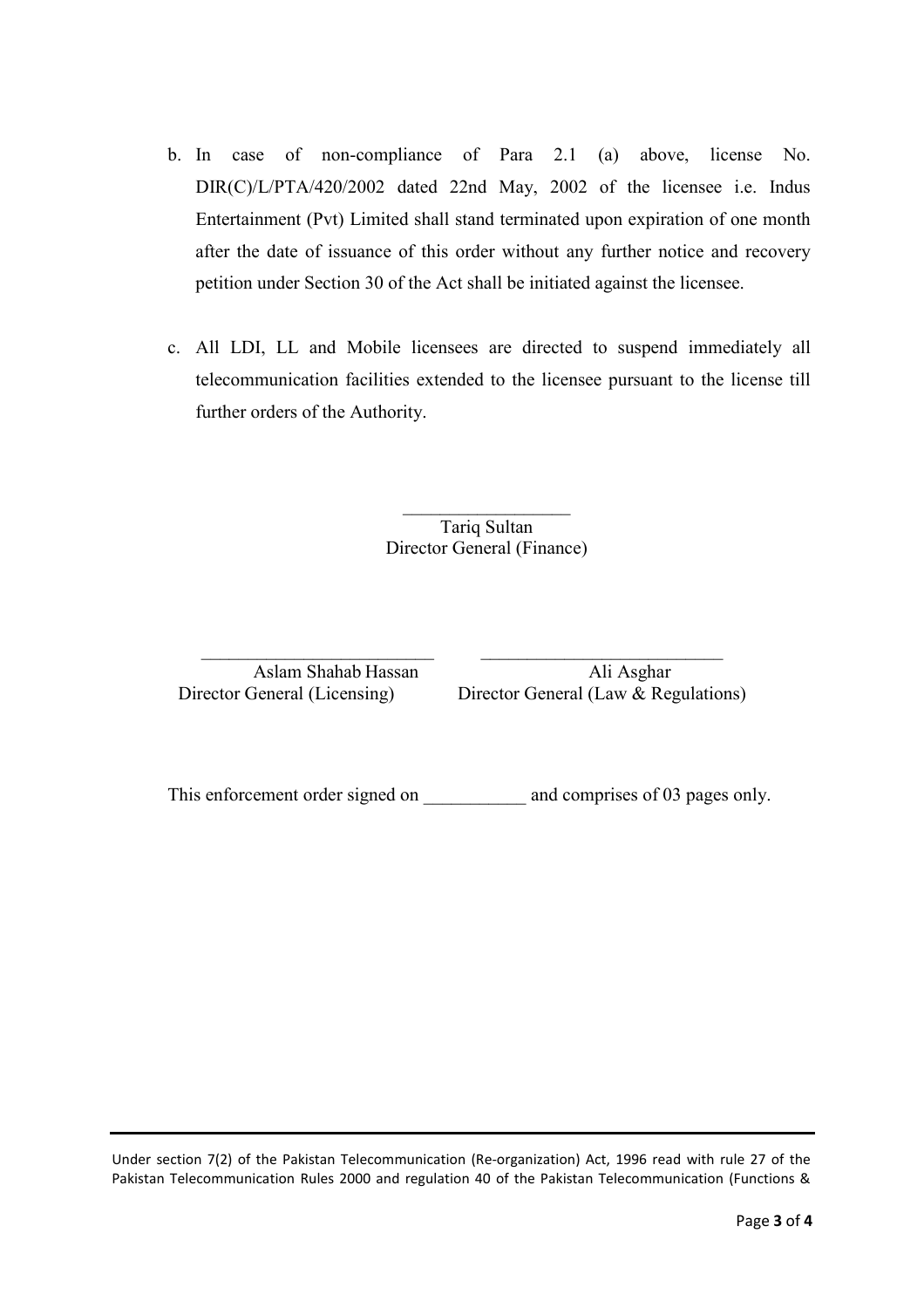- b. In case of non-compliance of Para 2.1 (a) above, license No. DIR(C)/L/PTA/420/2002 dated 22nd May, 2002 of the licensee i.e. Indus Entertainment (Pvt) Limited shall stand terminated upon expiration of one month after the date of issuance of this order without any further notice and recovery petition under Section 30 of the Act shall be initiated against the licensee.
- c. All LDI, LL and Mobile licensees are directed to suspend immediately all telecommunication facilities extended to the licensee pursuant to the license till further orders of the Authority.

 $\mathcal{L}_\text{max}$ Tariq Sultan Director General (Finance)

 $\_$  , and the set of the set of the set of the set of the set of the set of the set of the set of the set of the set of the set of the set of the set of the set of the set of the set of the set of the set of the set of th Aslam Shahab Hassan Ali Asghar<br>Director General (Licensing) Director General (Law & Reg

Director General (Law  $&$  Regulations)

This enforcement order signed on and comprises of 03 pages only.

Under section 7(2) of the Pakistan Telecommunication (Re-organization) Act, 1996 read with rule 27 of the Pakistan Telecommunication Rules 2000 and regulation 40 of the Pakistan Telecommunication (Functions &